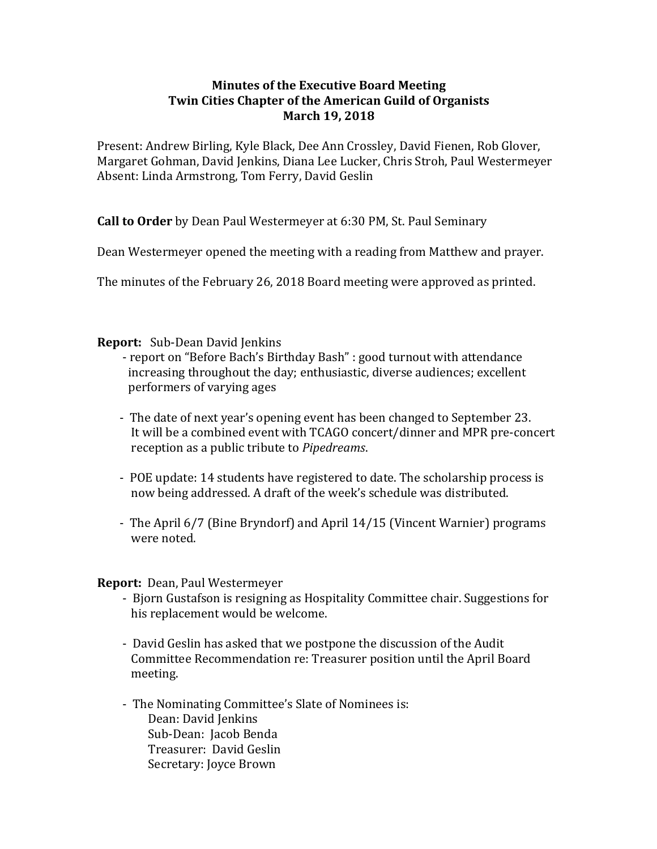## **Minutes of the Executive Board Meeting Twin Cities Chapter of the American Guild of Organists March 19, 2018**

Present: Andrew Birling, Kyle Black, Dee Ann Crossley, David Fienen, Rob Glover, Margaret Gohman, David Jenkins, Diana Lee Lucker, Chris Stroh, Paul Westermeyer Absent: Linda Armstrong, Tom Ferry, David Geslin

**Call to Order** by Dean Paul Westermeyer at 6:30 PM, St. Paul Seminary

Dean Westermeyer opened the meeting with a reading from Matthew and prayer.

The minutes of the February 26, 2018 Board meeting were approved as printed.

## **Report:** Sub-Dean David Jenkins

- report on "Before Bach's Birthday Bash" : good turnout with attendance increasing throughout the day; enthusiastic, diverse audiences; excellent performers of varying ages
- The date of next year's opening event has been changed to September 23. It will be a combined event with TCAGO concert/dinner and MPR pre-concert reception as a public tribute to *Pipedreams*.
- POE update: 14 students have registered to date. The scholarship process is now being addressed. A draft of the week's schedule was distributed.
- The April 6/7 (Bine Bryndorf) and April 14/15 (Vincent Warnier) programs were noted.

**Report:** Dean, Paul Westermeyer

- Bjorn Gustafson is resigning as Hospitality Committee chair. Suggestions for his replacement would be welcome.
- David Geslin has asked that we postpone the discussion of the Audit Committee Recommendation re: Treasurer position until the April Board meeting.
- The Nominating Committee's Slate of Nominees is: Dean: David Jenkins Sub-Dean: Jacob Benda Treasurer: David Geslin Secretary: Joyce Brown